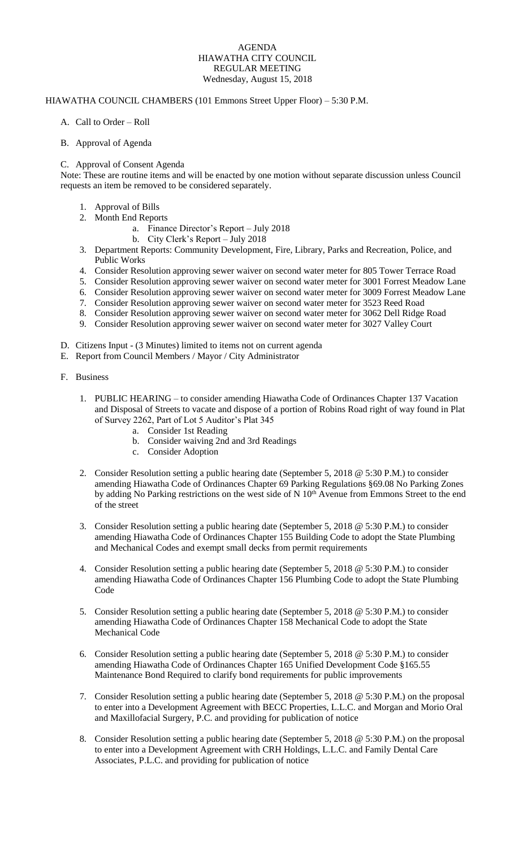## AGENDA HIAWATHA CITY COUNCIL REGULAR MEETING Wednesday, August 15, 2018

## HIAWATHA COUNCIL CHAMBERS (101 Emmons Street Upper Floor) – 5:30 P.M.

- A. Call to Order Roll
- B. Approval of Agenda

## C. Approval of Consent Agenda

Note: These are routine items and will be enacted by one motion without separate discussion unless Council requests an item be removed to be considered separately.

- 1. Approval of Bills
- 2. Month End Reports
	- a. Finance Director's Report July 2018
	- b. City Clerk's Report July 2018
- 3. Department Reports: Community Development, Fire, Library, Parks and Recreation, Police, and Public Works
- 4. Consider Resolution approving sewer waiver on second water meter for 805 Tower Terrace Road
- 5. Consider Resolution approving sewer waiver on second water meter for 3001 Forrest Meadow Lane
- 6. Consider Resolution approving sewer waiver on second water meter for 3009 Forrest Meadow Lane
- 7. Consider Resolution approving sewer waiver on second water meter for 3523 Reed Road
- 8. Consider Resolution approving sewer waiver on second water meter for 3062 Dell Ridge Road
- 9. Consider Resolution approving sewer waiver on second water meter for 3027 Valley Court
- D. Citizens Input (3 Minutes) limited to items not on current agenda
- E. Report from Council Members / Mayor / City Administrator
- F. Business
	- 1. PUBLIC HEARING to consider amending Hiawatha Code of Ordinances Chapter 137 Vacation and Disposal of Streets to vacate and dispose of a portion of Robins Road right of way found in Plat of Survey 2262, Part of Lot 5 Auditor's Plat 345
		- a. Consider 1st Reading
		- b. Consider waiving 2nd and 3rd Readings
		- c. Consider Adoption
	- 2. Consider Resolution setting a public hearing date (September 5, 2018 @ 5:30 P.M.) to consider amending Hiawatha Code of Ordinances Chapter 69 Parking Regulations §69.08 No Parking Zones by adding No Parking restrictions on the west side of N  $10<sup>th</sup>$  Avenue from Emmons Street to the end of the street
	- 3. Consider Resolution setting a public hearing date (September 5, 2018 @ 5:30 P.M.) to consider amending Hiawatha Code of Ordinances Chapter 155 Building Code to adopt the State Plumbing and Mechanical Codes and exempt small decks from permit requirements
	- 4. Consider Resolution setting a public hearing date (September 5, 2018 @ 5:30 P.M.) to consider amending Hiawatha Code of Ordinances Chapter 156 Plumbing Code to adopt the State Plumbing Code
	- 5. Consider Resolution setting a public hearing date (September 5, 2018 @ 5:30 P.M.) to consider amending Hiawatha Code of Ordinances Chapter 158 Mechanical Code to adopt the State Mechanical Code
	- 6. Consider Resolution setting a public hearing date (September 5, 2018 @ 5:30 P.M.) to consider amending Hiawatha Code of Ordinances Chapter 165 Unified Development Code §165.55 Maintenance Bond Required to clarify bond requirements for public improvements
	- 7. Consider Resolution setting a public hearing date (September 5, 2018 @ 5:30 P.M.) on the proposal to enter into a Development Agreement with BECC Properties, L.L.C. and Morgan and Morio Oral and Maxillofacial Surgery, P.C. and providing for publication of notice
	- 8. Consider Resolution setting a public hearing date (September 5, 2018 @ 5:30 P.M.) on the proposal to enter into a Development Agreement with CRH Holdings, L.L.C. and Family Dental Care Associates, P.L.C. and providing for publication of notice